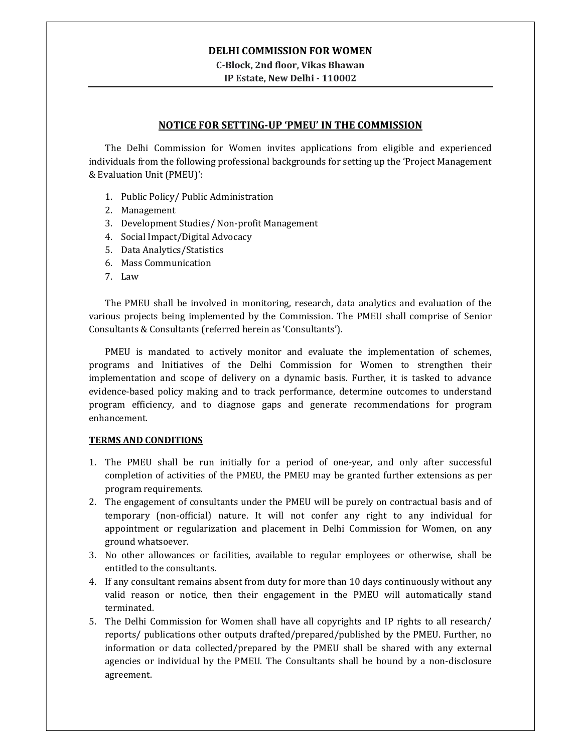### DELHI COMMISSION FOR WOMEN

C-Block, 2nd floor, Vikas Bhawan IP Estate, New Delhi - 110002

## NOTICE FOR SETTING-UP 'PMEU' IN THE COMMISSION

The Delhi Commission for Women invites applications from eligible and experienced individuals from the following professional backgrounds for setting up the 'Project Management & Evaluation Unit (PMEU)':

- 1. Public Policy/ Public Administration
- 2. Management
- 3. Development Studies/ Non-profit Management
- 4. Social Impact/Digital Advocacy
- 5. Data Analytics/Statistics
- 6. Mass Communication
- 7. Law

The PMEU shall be involved in monitoring, research, data analytics and evaluation of the various projects being implemented by the Commission. The PMEU shall comprise of Senior Consultants & Consultants (referred herein as 'Consultants').

PMEU is mandated to actively monitor and evaluate the implementation of schemes, programs and Initiatives of the Delhi Commission for Women to strengthen their implementation and scope of delivery on a dynamic basis. Further, it is tasked to advance evidence-based policy making and to track performance, determine outcomes to understand program efficiency, and to diagnose gaps and generate recommendations for program enhancement.

### TERMS AND CONDITIONS

- 1. The PMEU shall be run initially for a period of one-year, and only after successful completion of activities of the PMEU, the PMEU may be granted further extensions as per program requirements.
- 2. The engagement of consultants under the PMEU will be purely on contractual basis and of temporary (non-official) nature. It will not confer any right to any individual for appointment or regularization and placement in Delhi Commission for Women, on any ground whatsoever.
- 3. No other allowances or facilities, available to regular employees or otherwise, shall be entitled to the consultants.
- 4. If any consultant remains absent from duty for more than 10 days continuously without any valid reason or notice, then their engagement in the PMEU will automatically stand terminated.
- 5. The Delhi Commission for Women shall have all copyrights and IP rights to all research/ reports/ publications other outputs drafted/prepared/published by the PMEU. Further, no information or data collected/prepared by the PMEU shall be shared with any external agencies or individual by the PMEU. The Consultants shall be bound by a non-disclosure agreement.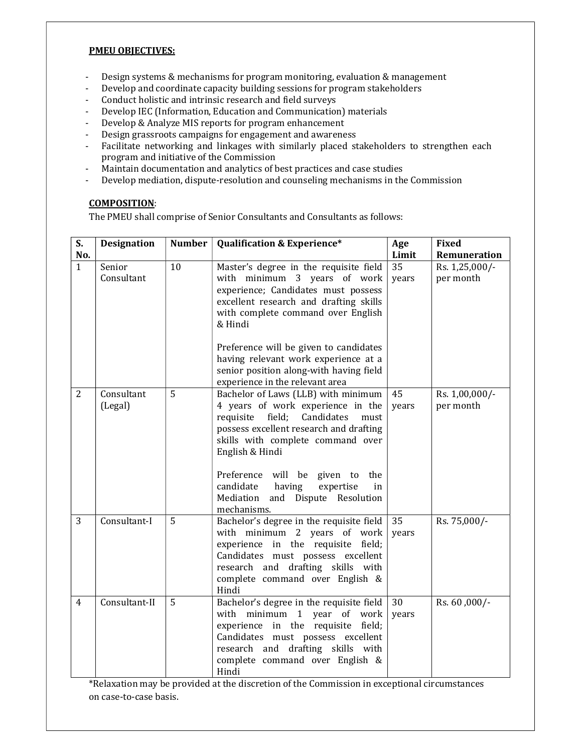### PMEU OBJECTIVES:

- Design systems & mechanisms for program monitoring, evaluation & management
- Develop and coordinate capacity building sessions for program stakeholders
- Conduct holistic and intrinsic research and field surveys
- Develop IEC (Information, Education and Communication) materials
- Develop & Analyze MIS reports for program enhancement
- Design grassroots campaigns for engagement and awareness
- Facilitate networking and linkages with similarly placed stakeholders to strengthen each program and initiative of the Commission
- Maintain documentation and analytics of best practices and case studies
- Develop mediation, dispute-resolution and counseling mechanisms in the Commission

# COMPOSITION:

The PMEU shall comprise of Senior Consultants and Consultants as follows:

| S.<br>No.      | <b>Designation</b>    | <b>Number</b> | <b>Qualification &amp; Experience*</b>                                                                                                                                                                                                  | Age<br>Limit | Fixed<br>Remuneration       |
|----------------|-----------------------|---------------|-----------------------------------------------------------------------------------------------------------------------------------------------------------------------------------------------------------------------------------------|--------------|-----------------------------|
| $\mathbf{1}$   | Senior<br>Consultant  | 10            | Master's degree in the requisite field<br>with minimum 3 years of work<br>experience; Candidates must possess<br>excellent research and drafting skills<br>with complete command over English<br>& Hindi                                | 35<br>years  | Rs. 1,25,000/-<br>per month |
|                |                       |               | Preference will be given to candidates<br>having relevant work experience at a<br>senior position along-with having field<br>experience in the relevant area                                                                            |              |                             |
| $\overline{2}$ | Consultant<br>(Legal) | 5             | Bachelor of Laws (LLB) with minimum<br>4 years of work experience in the<br>requisite field;<br>Candidates<br>must<br>possess excellent research and drafting<br>skills with complete command over<br>English & Hindi                   | 45<br>years  | Rs. 1,00,000/-<br>per month |
|                |                       |               | Preference will be given to<br>the<br>candidate<br>having<br>expertise<br>in<br>Mediation and Dispute Resolution<br>mechanisms.                                                                                                         |              |                             |
| 3              | Consultant-I          | 5             | Bachelor's degree in the requisite field<br>with minimum 2 years of work<br>experience in the requisite<br>field;<br>Candidates must possess excellent<br>research and drafting skills with<br>complete command over English &<br>Hindi | 35<br>years  | Rs. 75,000/-                |
| $\overline{4}$ | Consultant-II         | 5             | Bachelor's degree in the requisite field<br>with minimum 1 year of work<br>experience in the requisite field;<br>Candidates must possess excellent<br>research and drafting skills with<br>complete command over English &<br>Hindi     | 30<br>years  | Rs. 60, 000/-               |

\*Relaxation may be provided at the discretion of the Commission in exceptional circumstances on case-to-case basis.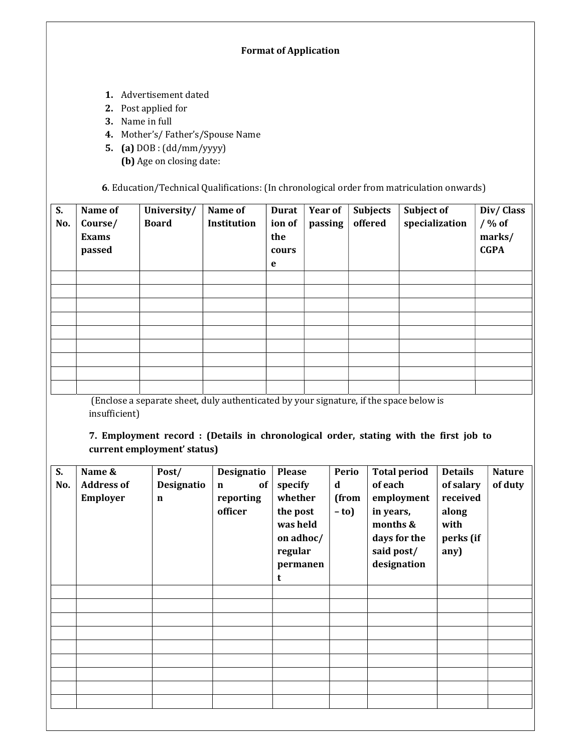# Format of Application

- 1. Advertisement dated
- 2. Post applied for
- 3. Name in full
- 4. Mother's/ Father's/Spouse Name
- 5. (a) DOB : (dd/mm/yyyy) (b) Age on closing date:

6. Education/Technical Qualifications: (In chronological order from matriculation onwards)

| S.<br>No. | Name of<br>Course/<br><b>Exams</b><br>passed | University/<br><b>Board</b> | Name of<br>Institution | <b>Durat</b><br>ion of<br>the<br>cours<br>e | <b>Year of</b><br>passing | <b>Subjects</b><br>offered | Subject of<br>specialization | Div/Class<br>$/$ % of<br>marks/<br><b>CGPA</b> |
|-----------|----------------------------------------------|-----------------------------|------------------------|---------------------------------------------|---------------------------|----------------------------|------------------------------|------------------------------------------------|
|           |                                              |                             |                        |                                             |                           |                            |                              |                                                |
|           |                                              |                             |                        |                                             |                           |                            |                              |                                                |
|           |                                              |                             |                        |                                             |                           |                            |                              |                                                |
|           |                                              |                             |                        |                                             |                           |                            |                              |                                                |
|           |                                              |                             |                        |                                             |                           |                            |                              |                                                |
|           |                                              |                             |                        |                                             |                           |                            |                              |                                                |
|           |                                              |                             |                        |                                             |                           |                            |                              |                                                |
|           |                                              |                             |                        |                                             |                           |                            |                              |                                                |
|           |                                              |                             |                        |                                             |                           |                            |                              |                                                |

 (Enclose a separate sheet, duly authenticated by your signature, if the space below is insufficient)

7. Employment record : (Details in chronological order, stating with the first job to current employment' status)

| S.<br>No. | Name &<br><b>Address of</b><br>Employer | Post/<br>Designatio<br>$\mathbf n$ | Designatio<br>of<br>$\mathbf n$<br>reporting<br>officer | <b>Please</b><br>specify<br>whether<br>the post<br>was held<br>on adhoc/<br>regular<br>permanen<br>t | Perio<br>d<br>(from<br>$-$ to) | <b>Total period</b><br>of each<br>employment<br>in years,<br>months &<br>days for the<br>said post/<br>designation | <b>Details</b><br>of salary<br>received<br>along<br>with<br>perks (if<br>any) | <b>Nature</b><br>of duty |
|-----------|-----------------------------------------|------------------------------------|---------------------------------------------------------|------------------------------------------------------------------------------------------------------|--------------------------------|--------------------------------------------------------------------------------------------------------------------|-------------------------------------------------------------------------------|--------------------------|
|           |                                         |                                    |                                                         |                                                                                                      |                                |                                                                                                                    |                                                                               |                          |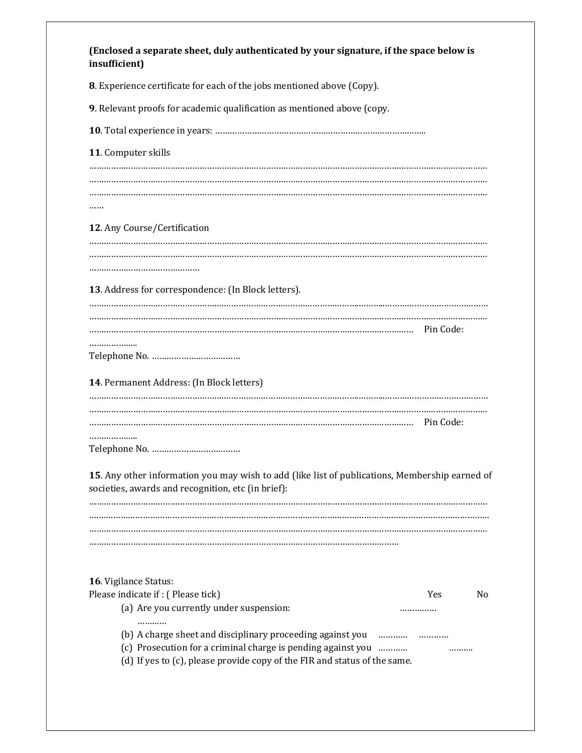| 8. Experience certificate for each of the jobs mentioned above (Copy).                                                                               |         |                |
|------------------------------------------------------------------------------------------------------------------------------------------------------|---------|----------------|
| 9. Relevant proofs for academic qualification as mentioned above (copy.                                                                              |         |                |
|                                                                                                                                                      |         |                |
| 11. Computer skills                                                                                                                                  |         |                |
|                                                                                                                                                      |         |                |
|                                                                                                                                                      |         |                |
|                                                                                                                                                      |         |                |
| 12. Any Course/Certification                                                                                                                         |         |                |
|                                                                                                                                                      |         |                |
|                                                                                                                                                      |         |                |
| 13. Address for correspondence: (In Block letters).                                                                                                  |         |                |
|                                                                                                                                                      |         |                |
|                                                                                                                                                      |         |                |
|                                                                                                                                                      |         |                |
|                                                                                                                                                      |         |                |
| 14. Permanent Address: (In Block letters)                                                                                                            |         |                |
|                                                                                                                                                      |         |                |
|                                                                                                                                                      |         |                |
|                                                                                                                                                      |         |                |
|                                                                                                                                                      |         |                |
| 15. Any other information you may wish to add (like list of publications, Membership earned of<br>societies, awards and recognition, etc (in brief): |         |                |
|                                                                                                                                                      |         |                |
|                                                                                                                                                      |         |                |
|                                                                                                                                                      |         |                |
|                                                                                                                                                      |         |                |
|                                                                                                                                                      |         |                |
| 16. Vigilance Status:                                                                                                                                |         |                |
| Please indicate if: (Please tick)                                                                                                                    | Yes<br> | N <sub>0</sub> |
| (a) Are you currently under suspension:<br>.                                                                                                         |         |                |
| (c) Prosecution for a criminal charge is pending against you                                                                                         |         |                |